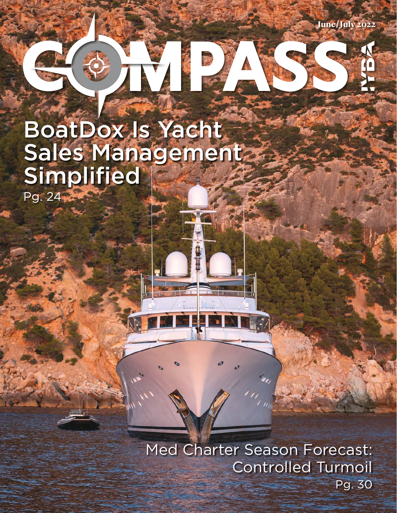June/July 2022

# 

## BoatDox Is Yacht Sales Management Simplified Pg. 24

Med Charter Season Forecast: Controlled Turmoil Pg. 30

7)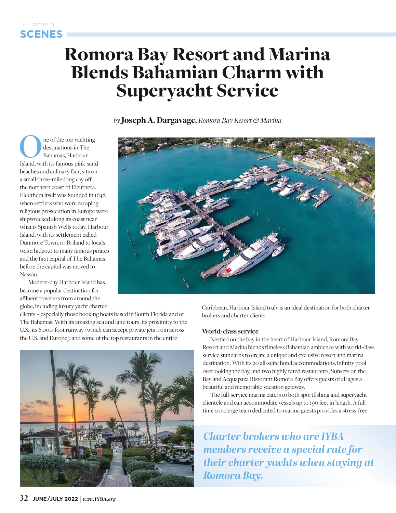### Romora Bay Resort and Marina Blends Bahamian Charm with Superyacht Service

*by* Joseph A. Dargavage, *Romora Bay Resort & Marina*

ne of the top yachting destinations in The Bahamas, Harbour Island, with its famous pink-sand beaches and culinary flair, sits on a small three-mile-long cay off the northern coast of Eleuthera. Eleuthera itself was founded in 1648, when settlers who were escaping religious prosecution in Europe were shipwrecked along its coast near what is Spanish Wells today. Harbour Island, with its settlement called Dunmore Town, or Briland to locals, was a hideout to many famous pirates and the first capital of The Bahamas, before the capital was moved to Nassau.

Modern-day Harbour Island has become a popular destination for affluent travelers from around the globe, including luxury yacht charter

clients – especially those booking boats based in South Florida and or The Bahamas. With its amazing sea and land tours, its proximity to the U.S., its 6,000-foot runway (which can accept private jets from across the U.S. and Europe), and some of the top restaurants in the entire





Caribbean, Harbour Island truly is an ideal destination for both charter brokers and charter clients.

#### **World-class service**

Nestled on the bay in the heart of Harbour Island, Romora Bay Resort and Marina blends timeless Bahamian ambience with world-class service standards to create a unique and exclusive resort and marina destination. With its 20 all-suite hotel accommodations, infinity pool overlooking the bay, and two highly rated restaurants, Sunsets on the Bay and Acquapaza Ristorant Romora Bay offers guests of all ages a beautiful and memorable vacation getaway.

The full-service marina caters to both sportfishing and superyacht clientele and can accommodate vessels up to 190 feet in length. A fulltime concierge team dedicated to marina guests provides a stress-free

**Charter brokers who are IYBA** *members receive a special rate for members refere pachts when staying at their charter yachts when staying at Romora Bay.*